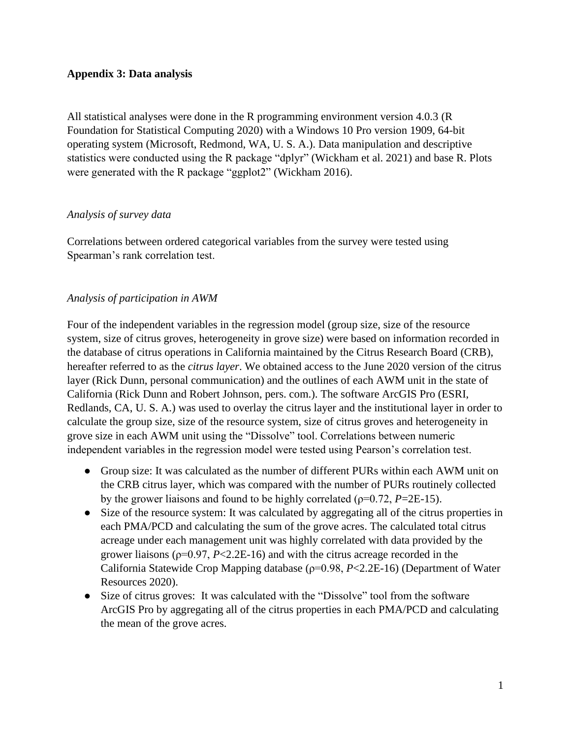## **Appendix 3: Data analysis**

All statistical analyses were done in the R programming environment version 4.0.3 (R Foundation for Statistical Computing 2020) with a Windows 10 Pro version 1909, 64-bit operating system (Microsoft, Redmond, WA, U. S. A.). Data manipulation and descriptive statistics were conducted using the R package "dplyr" (Wickham et al. 2021) and base R. Plots were generated with the R package "ggplot2" (Wickham 2016).

## *Analysis of survey data*

Correlations between ordered categorical variables from the survey were tested using Spearman's rank correlation test.

## *Analysis of participation in AWM*

Four of the independent variables in the regression model (group size, size of the resource system, size of citrus groves, heterogeneity in grove size) were based on information recorded in the database of citrus operations in California maintained by the Citrus Research Board (CRB), hereafter referred to as the *citrus layer*. We obtained access to the June 2020 version of the citrus layer (Rick Dunn, personal communication) and the outlines of each AWM unit in the state of California (Rick Dunn and Robert Johnson, pers. com.). The software ArcGIS Pro (ESRI, Redlands, CA, U. S. A.) was used to overlay the citrus layer and the institutional layer in order to calculate the group size, size of the resource system, size of citrus groves and heterogeneity in grove size in each AWM unit using the "Dissolve" tool. Correlations between numeric independent variables in the regression model were tested using Pearson's correlation test.

- Group size: It was calculated as the number of different PURs within each AWM unit on the CRB citrus layer, which was compared with the number of PURs routinely collected by the grower liaisons and found to be highly correlated ( $\rho$ =0.72, *P*=2E-15).
- Size of the resource system: It was calculated by aggregating all of the citrus properties in each PMA/PCD and calculating the sum of the grove acres. The calculated total citrus acreage under each management unit was highly correlated with data provided by the grower liaisons (ρ=0.97, *P*<2.2E-16) and with the citrus acreage recorded in the California Statewide Crop Mapping database (ρ=0.98, *P*<2.2E-16) (Department of Water Resources 2020).
- Size of citrus groves: It was calculated with the "Dissolve" tool from the software ArcGIS Pro by aggregating all of the citrus properties in each PMA/PCD and calculating the mean of the grove acres.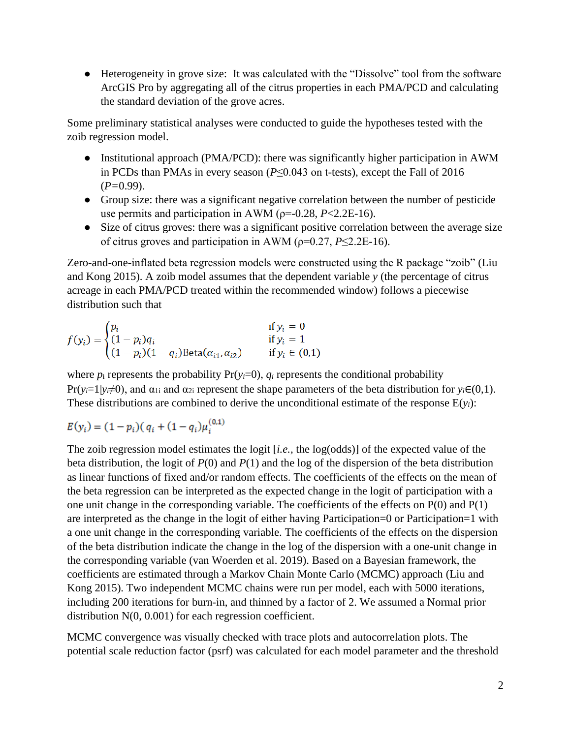● Heterogeneity in grove size: It was calculated with the "Dissolve" tool from the software ArcGIS Pro by aggregating all of the citrus properties in each PMA/PCD and calculating the standard deviation of the grove acres.

Some preliminary statistical analyses were conducted to guide the hypotheses tested with the zoib regression model.

- Institutional approach (PMA/PCD): there was significantly higher participation in AWM in PCDs than PMAs in every season (*P*≤0.043 on t-tests), except the Fall of 2016 (*P=*0.99).
- Group size: there was a significant negative correlation between the number of pesticide use permits and participation in AWM ( $p=0.28$ ,  $P<2.2E-16$ ).
- Size of citrus groves: there was a significant positive correlation between the average size of citrus groves and participation in AWM ( $\rho$ =0.27, *P*≤2.2E-16).

Zero-and-one-inflated beta regression models were constructed using the R package "zoib" (Liu and Kong 2015). A zoib model assumes that the dependent variable *y* (the percentage of citrus acreage in each PMA/PCD treated within the recommended window) follows a piecewise distribution such that

$$
f(y_i) = \begin{cases} p_i & \text{if } y_i = 0\\ (1 - p_i)q_i & \text{if } y_i = 1\\ (1 - p_i)(1 - q_i)\text{Beta}(\alpha_{i1}, \alpha_{i2}) & \text{if } y_i \in (0, 1) \end{cases}
$$

where  $p_i$  represents the probability  $Pr(y_i=0)$ ,  $q_i$  represents the conditional probability  $Pr(y_i=1|y_i\neq 0)$ , and  $\alpha_{1i}$  and  $\alpha_{2i}$  represent the shape parameters of the beta distribution for  $y_i \in (0,1)$ . These distributions are combined to derive the unconditional estimate of the response  $E(y_i)$ :

$$
E(y_i) = (1 - p_i)(q_i + (1 - q_i)\mu_i^{(0,1)}
$$

The zoib regression model estimates the logit [*i.e.,* the log(odds)] of the expected value of the beta distribution, the logit of *P*(0) and *P*(1) and the log of the dispersion of the beta distribution as linear functions of fixed and/or random effects. The coefficients of the effects on the mean of the beta regression can be interpreted as the expected change in the logit of participation with a one unit change in the corresponding variable. The coefficients of the effects on P(0) and P(1) are interpreted as the change in the logit of either having Participation=0 or Participation=1 with a one unit change in the corresponding variable. The coefficients of the effects on the dispersion of the beta distribution indicate the change in the log of the dispersion with a one-unit change in the corresponding variable (van Woerden et al. 2019). Based on a Bayesian framework, the coefficients are estimated through a Markov Chain Monte Carlo (MCMC) approach (Liu and Kong 2015). Two independent MCMC chains were run per model, each with 5000 iterations, including 200 iterations for burn-in, and thinned by a factor of 2. We assumed a Normal prior distribution N(0, 0.001) for each regression coefficient.

MCMC convergence was visually checked with trace plots and autocorrelation plots. The potential scale reduction factor (psrf) was calculated for each model parameter and the threshold